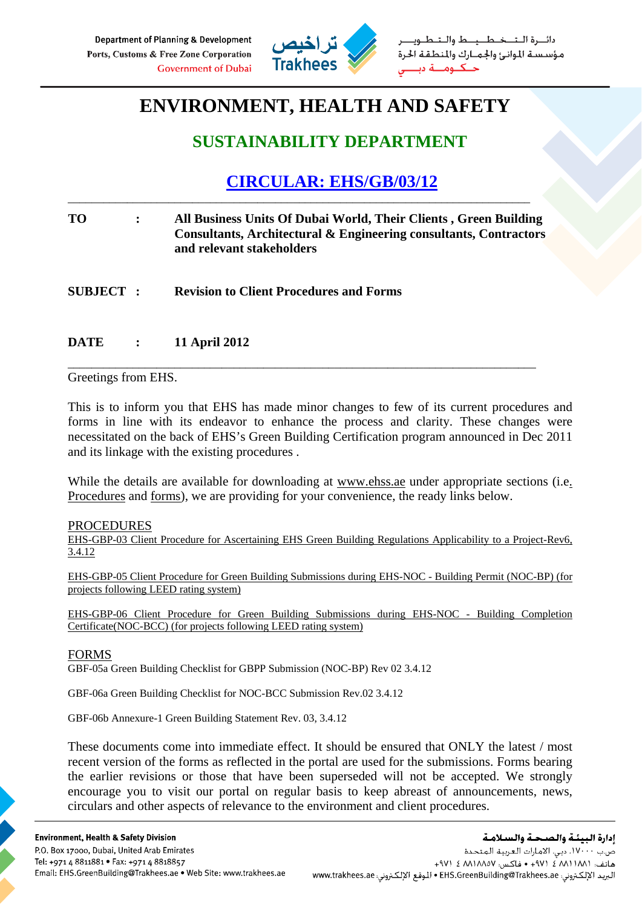

طــيــط والــتـ مؤسسة الموانئ والجمارك والمنطقة الحرة

# **ENVIRONMENT, HEALTH AND SAFETY**

## **SUSTAINABILITY DEPARTMENT**

## **CIRCULAR: EHS/GB/03/12**

## **TO : All Business Units Of Dubai World, Their Clients , Green Building Consultants, Architectural & Engineering consultants, Contractors and relevant stakeholders**

\_\_\_\_\_\_\_\_\_\_\_\_\_\_\_\_\_\_\_\_\_\_\_\_\_\_\_\_\_\_\_\_\_\_\_\_\_\_\_\_\_\_\_\_\_\_\_\_\_\_\_\_\_\_\_\_\_\_\_\_\_\_\_\_\_\_\_\_\_\_\_\_\_\_\_\_\_\_\_

\_\_\_\_\_\_\_\_\_\_\_\_\_\_\_\_\_\_\_\_\_\_\_\_\_\_\_\_\_\_\_\_\_\_\_\_\_\_\_\_\_\_\_\_\_\_\_\_\_\_\_\_\_\_\_\_\_\_\_\_\_\_\_\_\_\_\_\_\_\_\_\_\_\_\_\_\_\_

**SUBJECT : Revision to Client Procedures and Forms** 

## **DATE : 11 April 2012**

### Greetings from EHS.

This is to inform you that EHS has made minor changes to few of its current procedures and forms in line with its endeavor to enhance the process and clarity. These changes were necessitated on the back of EHS's Green Building Certification program announced in Dec 2011 and its linkage with the existing procedures .

While the details are available for downloading at www.ehss.ae under appropriate sections (i.e. Procedures and forms), we are providing for your convenience, the ready links below.

#### PROCEDURES

EHS-GBP-03 Client Procedure for Ascertaining EHS Green Building Regulations Applicability to a Project-Rev6, 3.4.12

EHS-GBP-05 Client Procedure for Green Building Submissions during EHS-NOC - Building Permit (NOC-BP) (for projects following LEED rating system)

EHS-GBP-06 Client Procedure for Green Building Submissions during EHS-NOC - Building Completion Certificate(NOC-BCC) (for projects following LEED rating system)

#### FORMS

GBF-05a Green Building Checklist for GBPP Submission (NOC-BP) Rev 02 3.4.12

GBF-06a Green Building Checklist for NOC-BCC Submission Rev.02 3.4.12

GBF-06b Annexure-1 Green Building Statement Rev. 03, 3.4.12

These documents come into immediate effect. It should be ensured that ONLY the latest / most recent version of the forms as reflected in the portal are used for the submissions. Forms bearing the earlier revisions or those that have been superseded will not be accepted. We strongly encourage you to visit our portal on regular basis to keep abreast of announcements, news, circulars and other aspects of relevance to the environment and client procedures.